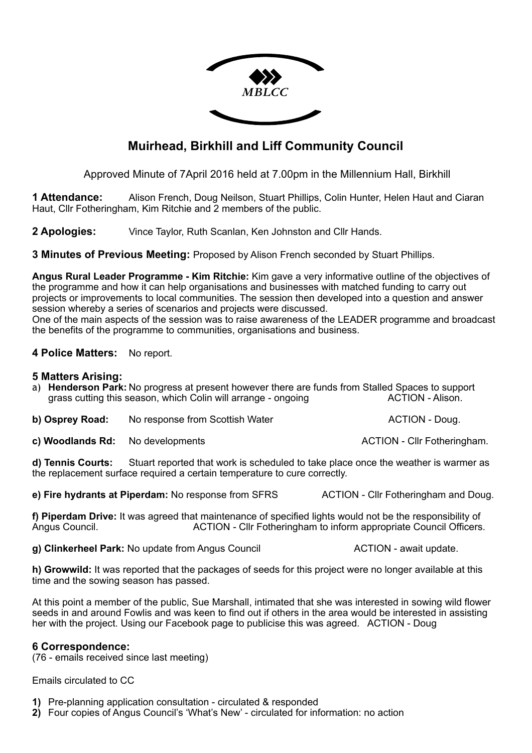

# **Muirhead, Birkhill and Liff Community Council**

Approved Minute of 7April 2016 held at 7.00pm in the Millennium Hall, Birkhill

**1 Attendance:** Alison French, Doug Neilson, Stuart Phillips, Colin Hunter, Helen Haut and Ciaran Haut, Cllr Fotheringham, Kim Ritchie and 2 members of the public.

**2 Apologies:** Vince Taylor, Ruth Scanlan, Ken Johnston and Cllr Hands.

**3 Minutes of Previous Meeting:** Proposed by Alison French seconded by Stuart Phillips.

**Angus Rural Leader Programme - Kim Ritchie:** Kim gave a very informative outline of the objectives of the programme and how it can help organisations and businesses with matched funding to carry out projects or improvements to local communities. The session then developed into a question and answer session whereby a series of scenarios and projects were discussed.

One of the main aspects of the session was to raise awareness of the LEADER programme and broadcast the benefits of the programme to communities, organisations and business.

# **4 Police Matters:** No report.

### **5 Matters Arising:**

a) **Henderson Park:** No progress at present however there are funds from Stalled Spaces to support grass cutting this season, which Colin will arrange - ongoing

**b) Osprey Road:** No response from Scottish Water **ACTION** - Doug.

**c) Woodlands Rd:** No developments **ACTION** - Clir Fotheringham.

**d) Tennis Courts:** Stuart reported that work is scheduled to take place once the weather is warmer as the replacement surface required a certain temperature to cure correctly.

**e) Fire hydrants at Piperdam:** No response from SFRS ACTION - Cllr Fotheringham and Doug.

**f) Piperdam Drive:** It was agreed that maintenance of specified lights would not be the responsibility of Angus Council. ACTION - Cllr Fotheringham to inform appropriate Council Officers.

**g) Clinkerheel Park:** No update from Angus Council **ACTION** - await update.

**h) Growwild:** It was reported that the packages of seeds for this project were no longer available at this time and the sowing season has passed.

At this point a member of the public, Sue Marshall, intimated that she was interested in sowing wild flower seeds in and around Fowlis and was keen to find out if others in the area would be interested in assisting her with the project. Using our Facebook page to publicise this was agreed. ACTION - Doug

# **6 Correspondence:**

(76 - emails received since last meeting)

Emails circulated to CC

**1)** Pre-planning application consultation - circulated & responded

**2)** Four copies of Angus Council's 'What's New' - circulated for information: no action